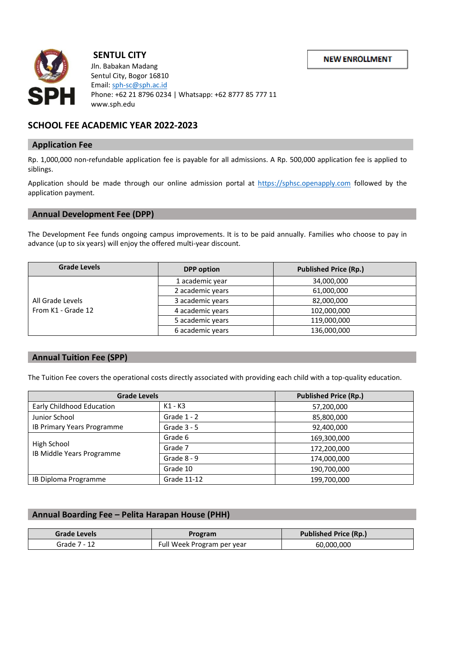**NEW ENROLLMENT** 



# **SENTUL CITY**

 Jln. Babakan Madang Sentul City, Bogor 16810  $\left\{\left|\left.\rule{0cm}{0cm}\right|\right.\right\}$  Phone: +62 21 8796 0234 | Whatsapp: +62 8777 85 777 11 www.sph.edu

## **SCHOOL FEE ACADEMIC YEAR 2022-2023**

## **Application Fee**

Rp. 1,000,000 non-refundable application fee is payable for all admissions. A Rp. 500,000 application fee is applied to siblings.

Application should be made through our online admission portal at [https://sphsc.openapply.com](https://sphsc.openapply.com/) followed by the application payment.

## **Annual Development Fee (DPP)**

The Development Fee funds ongoing campus improvements. It is to be paid annually. Families who choose to pay in advance (up to six years) will enjoy the offered multi-year discount.

| <b>Grade Levels</b>                    | <b>DPP</b> option | <b>Published Price (Rp.)</b> |
|----------------------------------------|-------------------|------------------------------|
| All Grade Levels<br>From K1 - Grade 12 | 1 academic year   | 34,000,000                   |
|                                        | 2 academic years  | 61,000,000                   |
|                                        | 3 academic years  | 82,000,000                   |
|                                        | 4 academic years  | 102,000,000                  |
|                                        | 5 academic years  | 119,000,000                  |
|                                        | 6 academic years  | 136,000,000                  |

## **Annual Tuition Fee (SPP)**

The Tuition Fee covers the operational costs directly associated with providing each child with a top-quality education.

| <b>Grade Levels</b>                      |               | <b>Published Price (Rp.)</b> |
|------------------------------------------|---------------|------------------------------|
| Early Childhood Education                | K1 - K3       | 57,200,000                   |
| Junior School                            | Grade $1 - 2$ | 85,800,000                   |
| IB Primary Years Programme               | Grade $3 - 5$ | 92,400,000                   |
| High School<br>IB Middle Years Programme | Grade 6       | 169,300,000                  |
|                                          | Grade 7       | 172,200,000                  |
|                                          | Grade $8 - 9$ | 174,000,000                  |
|                                          | Grade 10      | 190,700,000                  |
| IB Diploma Programme                     | Grade 11-12   | 199,700,000                  |

## **Annual Boarding Fee – Pelita Harapan House (PHH)**

| Grade Levels | Program                    | <b>Published Price (Rp.)</b> |
|--------------|----------------------------|------------------------------|
| Grade 7 - 12 | Full Week Program per year | 60,000,000                   |